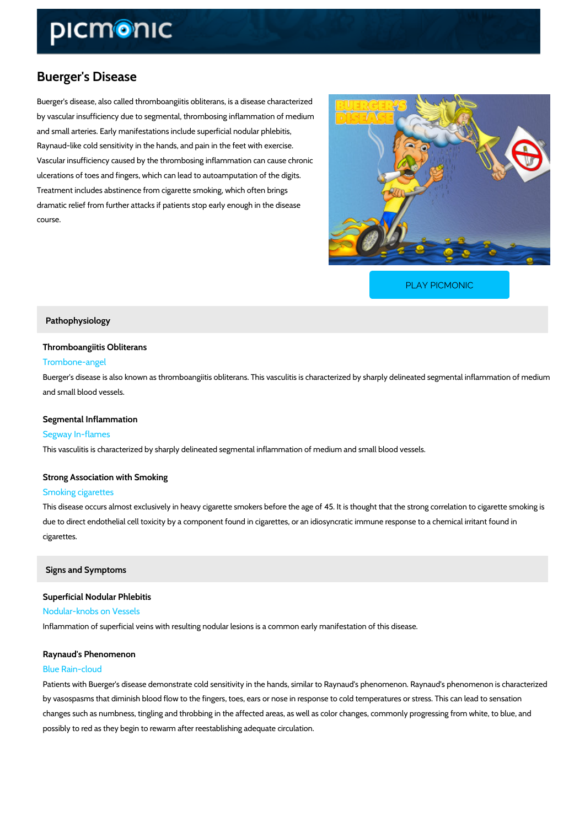# Buerger's Disease

Buerger's disease, also called thromboangiitis obliterans, is a disease characterized by vascular insufficiency due to segmental, thrombosing inflammation of medium and small arteries. Early manifestations include superficial nodular phlebitis, Raynaud-like cold sensitivity in the hands, and pain in the feet with exercise. Vascular insufficiency caused by the thrombosing inflammation can cause chronic ulcerations of toes and fingers, which can lead to autoamputation of the digits. Treatment includes abstinence from cigarette smoking, which often brings dramatic relief from further attacks if patients stop early enough in the disease course.

[PLAY PICMONIC](https://www.picmonic.com/learn/buerger-s-disease_405?utm_source=downloadable_content&utm_medium=distributedcontent&utm_campaign=pathways_pdf&utm_content=Buerger)

#### Pathophysiology

#### Thromboangiitis Obliterans

#### Trombone-angel

Buerger's disease is also known as thromboangiitis obliterans. This vasculitis is characterize and small blood vessels.

# Segmental Inflammation

#### Segway In-flames

This vasculitis is characterized by sharply delineated segmental inflammation of medium and s

# Strong Association with Smoking

#### Smoking cigarettes

This disease occurs almost exclusively in heavy cigarette smokers before the age of 45. It is due to direct endothelial cell toxicity by a component found in cigarettes, or an idiosyncratic cigarettes.

## Signs and Symptoms

Superficial Nodular Phlebitis Nodular-knobs on Vessels Inflammation of superficial veins with resulting nodular lesions is a common early manifestati

## Raynaud's Phenomenon

# Blue Rain-cloud

Patients with Buerger's disease demonstrate cold sensitivity in the hands, similar to Raynaud by vasospasms that diminish blood flow to the fingers, toes, ears or nose in response to cold changes such as numbness, tingling and throbbing in the affected areas, as well as color chaing that possibly to red as they begin to rewarm after reestablishing adequate circulation.